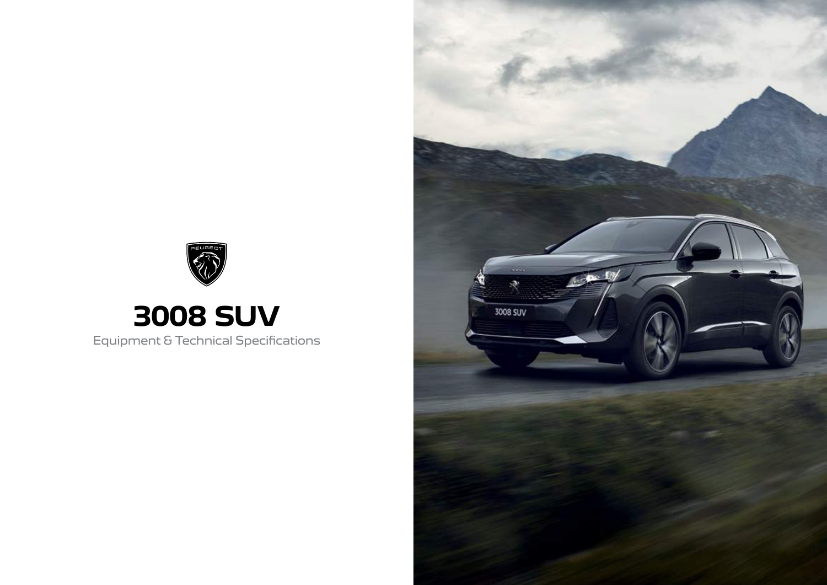

### **3008 SUV** Equipment & Technical Specifications

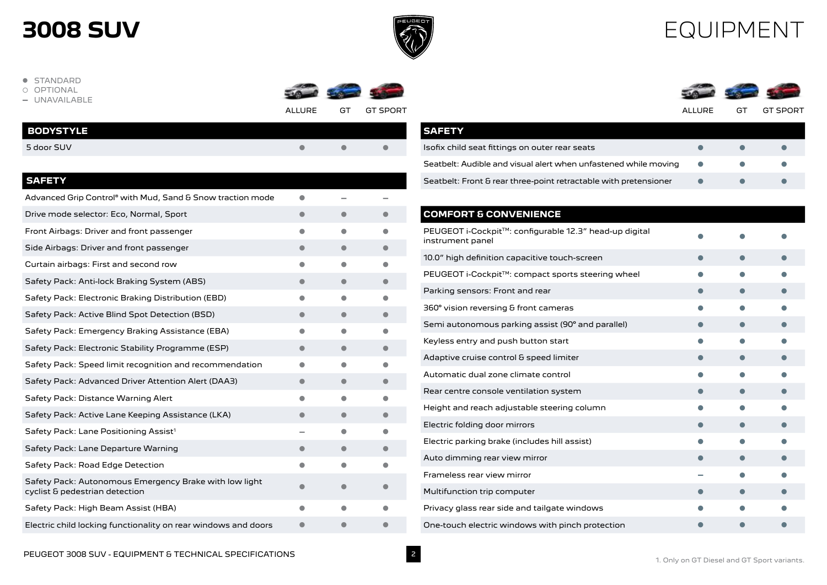

### EQUIPMENT

- **· STANDARD**
- OPTIONAL
- **-** UNAVAILABLE



ALLURE GT GT SPORT ALLURE GT GT SPORT

| <b>BODYSTYLE</b> |  |  |
|------------------|--|--|
| 5 door SUV       |  |  |
|                  |  |  |

#### **SAFETY**

| Advanced Grip Control® with Mud, Sand & Snow traction mode                               |   |           |  |
|------------------------------------------------------------------------------------------|---|-----------|--|
| Drive mode selector: Eco, Normal, Sport                                                  |   |           |  |
| Front Airbags: Driver and front passenger                                                |   |           |  |
| Side Airbags: Driver and front passenger                                                 |   |           |  |
| Curtain airbags: First and second row                                                    |   | o         |  |
| Safety Pack: Anti-lock Braking System (ABS)                                              |   |           |  |
| Safety Pack: Electronic Braking Distribution (EBD)                                       |   | ●         |  |
| Safety Pack: Active Blind Spot Detection (BSD)                                           |   | $\bullet$ |  |
| Safety Pack: Emergency Braking Assistance (EBA)                                          |   |           |  |
| Safety Pack: Electronic Stability Programme (ESP)                                        |   |           |  |
| Safety Pack: Speed limit recognition and recommendation                                  |   |           |  |
| Safety Pack: Advanced Driver Attention Alert (DAA3)                                      |   |           |  |
| Safety Pack: Distance Warning Alert                                                      |   |           |  |
| Safety Pack: Active Lane Keeping Assistance (LKA)                                        |   |           |  |
| Safety Pack: Lane Positioning Assist <sup>1</sup>                                        |   | -         |  |
| Safety Pack: Lane Departure Warning                                                      |   | $\bullet$ |  |
| Safety Pack: Road Edge Detection                                                         |   |           |  |
| Safety Pack: Autonomous Emergency Brake with low light<br>cyclist & pedestrian detection |   |           |  |
| Safety Pack: High Beam Assist (HBA)                                                      | ● | ●         |  |
| Electric child locking functionality on rear windows and doors                           |   |           |  |
|                                                                                          |   |           |  |

|--|--|--|



| <b>SAFETY</b>                                                    |               |  |
|------------------------------------------------------------------|---------------|--|
| Isofix child seat fittings on outer rear seats                   |               |  |
| Seatbelt: Audible and visual alert when unfastened while moving  | $\sim$ $\sim$ |  |
| Seatbelt: Front & rear three-point retractable with pretensioner |               |  |

### **COMFORT & CONVENIENCE** PEUGEOT i-Cockpit™: configurable 12.3" head-up digital instrument panel is comigurable in a literature digital and  $\bullet$ 10.0" high definition capacitive touch-screen  $\bullet$   $\bullet$   $\bullet$   $\bullet$ PEUGEOT i-Cockpit<sup>TM</sup>: compact sports steering wheel  $\bullet$   $\bullet$ Parking sensors: Front and rear l l l  $360^{\circ}$  vision reversing & front cameras like late like  $\bullet$  late like  $\bullet$ Semi autonomous parking assist  $(90^{\circ}$  and parallel) let lead to l l l l l l  $\bullet$ Keyless entry and push button start like  $\bullet$  like  $\bullet$  like  $\bullet$  like  $\bullet$ Adaptive cruise control & speed limiter l l l Automatic dual zone climate control  $\bullet$ Rear centre console ventilation system l l l l l l l l l l  $\bullet$  l l  $\bullet$  l  $\bullet$  l  $\bullet$ Height and reach adjustable steering column leader that  $\bullet$  labels are  $\bullet$ Electric folding door mirrors line is later than  $\bullet$  let  $\bullet$  let  $\bullet$  let  $\bullet$ Electric parking brake (includes hill assist) later and  $\bullet$  later  $\bullet$  later  $\bullet$ Auto dimming rear view mirror l l l Frameless rear view mirror **-** <sup>l</sup> <sup>l</sup> Multifunction trip computer later line  $\bullet$  and later  $\bullet$  and later  $\bullet$ Privacy glass rear side and tailgate windows  $\bullet$  let l l  $\bullet$  let  $\bullet$  let  $\bullet$

One-touch electric windows with pinch protection  $\bullet$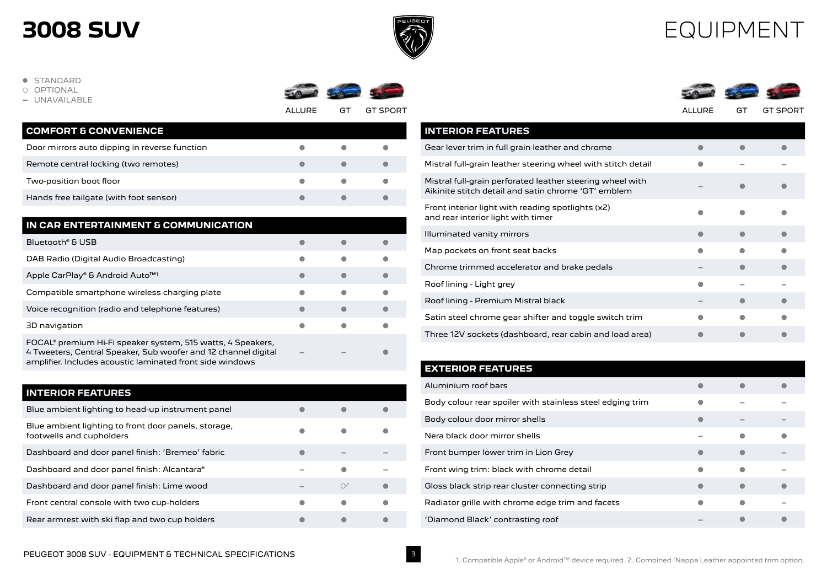

3

### EQUIPMENT

**· STANDARD** 

OPTIONAL

**-** UNAVAILABLE



ALLURE GT GT SPORT ALLURE GT GT SPORT

| <b>COMFORT &amp; CONVENIENCE</b>              |  |  |
|-----------------------------------------------|--|--|
| Door mirrors auto dipping in reverse function |  |  |
| Remote central locking (two remotes)          |  |  |
| Two-position boot floor                       |  |  |
| Hands free tailgate (with foot sensor)        |  |  |

| IN CAR ENTERTAINMENT & COMMUNICATION                                                                                                                                                       |           |  |
|--------------------------------------------------------------------------------------------------------------------------------------------------------------------------------------------|-----------|--|
| Bluetooth® & USB                                                                                                                                                                           |           |  |
| DAB Radio (Digital Audio Broadcasting)                                                                                                                                                     | $\bullet$ |  |
| Apple CarPlay® & Android Auto <sup>™1</sup>                                                                                                                                                | e         |  |
| Compatible smartphone wireless charging plate                                                                                                                                              | o         |  |
| Voice recognition (radio and telephone features)                                                                                                                                           | ●         |  |
| 3D navigation                                                                                                                                                                              | $\bullet$ |  |
| FOCAL® premium Hi-Fi speaker system, 515 watts, 4 Speakers,<br>4 Tweeters, Central Speaker, Sub woofer and 12 channel digital<br>amplifier. Includes acoustic laminated front side windows |           |  |

| <b>INTERIOR FEATURES</b>                                                         |          |                |  |
|----------------------------------------------------------------------------------|----------|----------------|--|
| Blue ambient lighting to head-up instrument panel                                |          |                |  |
| Blue ambient lighting to front door panels, storage,<br>footwells and cupholders |          |                |  |
| Dashboard and door panel finish: 'Bremeo' fabric                                 |          |                |  |
| Dashboard and door panel finish: Alcantara®                                      |          |                |  |
| Dashboard and door panel finish: Lime wood                                       | $\equiv$ | O <sup>2</sup> |  |
| Front central console with two cup-holders                                       |          |                |  |
| Rear armrest with ski flap and two cup holders                                   |          |                |  |

| <b>INTERIOR FEATURES</b>                                                                                         |   |  |
|------------------------------------------------------------------------------------------------------------------|---|--|
| Gear lever trim in full grain leather and chrome                                                                 |   |  |
| Mistral full-grain leather steering wheel with stitch detail                                                     |   |  |
| Mistral full-grain perforated leather steering wheel with<br>Aikinite stitch detail and satin chrome 'GT' emblem |   |  |
| Front interior light with reading spotlights (x2)<br>and rear interior light with timer                          |   |  |
| Illuminated vanity mirrors                                                                                       | ٠ |  |
| Map pockets on front seat backs                                                                                  |   |  |
| Chrome trimmed accelerator and brake pedals                                                                      |   |  |
| Roof lining - Light grey                                                                                         |   |  |
| Roof lining - Premium Mistral black                                                                              |   |  |
| Satin steel chrome gear shifter and toggle switch trim                                                           |   |  |
| Three 12V sockets (dashboard, rear cabin and load area)                                                          |   |  |

#### **EXTERIOR FEATURES**

| Aluminium roof bars                                       |  |                |
|-----------------------------------------------------------|--|----------------|
| Body colour rear spoiler with stainless steel edging trim |  |                |
| Body colour door mirror shells                            |  |                |
| Nera black door mirror shells                             |  |                |
| Front bumper lower trim in Lion Grey                      |  |                |
| Front wing trim: black with chrome detail                 |  |                |
| Gloss black strip rear cluster connecting strip           |  |                |
| Radiator grille with chrome edge trim and facets          |  | <b>College</b> |
| 'Diamond Black' contrasting roof                          |  |                |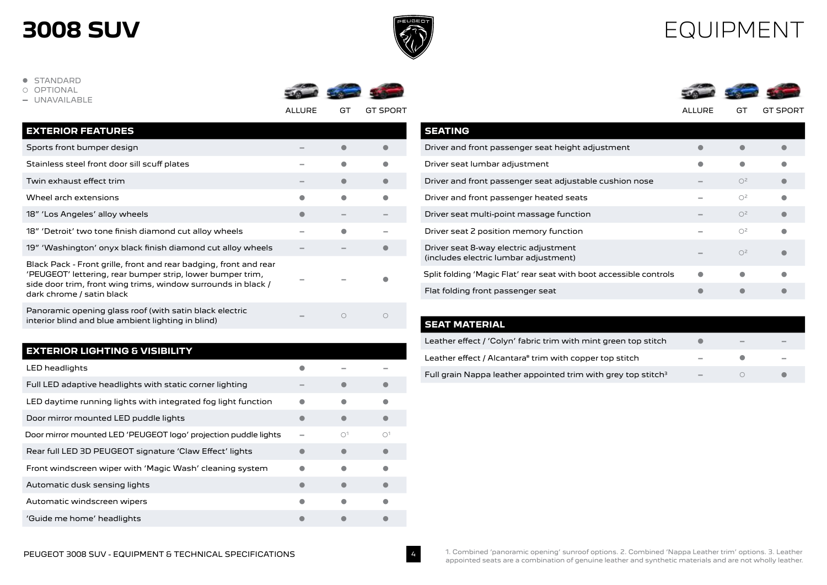

### EQUIPMENT

**.** STANDARD

- OPTIONAL
- **-** UNAVAILABLE



ALLURE GT GT SPORT ALLURE GT GT SPORT



| <b>EXTERIOR FEATURES</b>                                                                                                                                                                                                      |  |  |
|-------------------------------------------------------------------------------------------------------------------------------------------------------------------------------------------------------------------------------|--|--|
| Sports front bumper design                                                                                                                                                                                                    |  |  |
| Stainless steel front door sill scuff plates                                                                                                                                                                                  |  |  |
| Twin exhaust effect trim                                                                                                                                                                                                      |  |  |
| Wheel arch extensions                                                                                                                                                                                                         |  |  |
| 18" 'Los Angeles' alloy wheels                                                                                                                                                                                                |  |  |
| 18" 'Detroit' two tone finish diamond cut alloy wheels                                                                                                                                                                        |  |  |
| 19" 'Washington' onyx black finish diamond cut alloy wheels                                                                                                                                                                   |  |  |
| Black Pack - Front grille, front and rear badging, front and rear<br>'PEUGEOT' lettering, rear bumper strip, lower bumper trim,<br>side door trim, front wing trims, window surrounds in black /<br>dark chrome / satin black |  |  |
| Panoramic opening glass roof (with satin black electric<br>interior blind and blue ambient lighting in blind)                                                                                                                 |  |  |

#### **EXTERIOR LIGHTING & VISIBILITY**

| LED headlights                                                  |                        |                        |
|-----------------------------------------------------------------|------------------------|------------------------|
| Full LED adaptive headlights with static corner lighting        |                        |                        |
| LED daytime running lights with integrated fog light function   |                        |                        |
| Door mirror mounted LED puddle lights                           |                        |                        |
| Door mirror mounted LED 'PEUGEOT logo' projection puddle lights | $\bigcap$ <sup>1</sup> | $\bigcap$ <sup>1</sup> |
| Rear full LED 3D PEUGEOT signature 'Claw Effect' lights         |                        |                        |
| Front windscreen wiper with 'Magic Wash' cleaning system        |                        |                        |
| Automatic dusk sensing lights                                   |                        |                        |
| Automatic windscreen wipers                                     |                        |                        |
| 'Guide me home' headlights                                      |                        |                        |

| <b>SEATING</b>                                                                 |                |  |
|--------------------------------------------------------------------------------|----------------|--|
| Driver and front passenger seat height adjustment                              |                |  |
| Driver seat lumbar adjustment                                                  |                |  |
| Driver and front passenger seat adjustable cushion nose                        | O <sup>2</sup> |  |
| Driver and front passenger heated seats                                        | O <sup>2</sup> |  |
| Driver seat multi-point massage function                                       | O <sup>2</sup> |  |
| Driver seat 2 position memory function                                         | O <sup>2</sup> |  |
| Driver seat 8-way electric adjustment<br>(includes electric lumbar adjustment) | O <sup>2</sup> |  |
| Split folding 'Magic Flat' rear seat with boot accessible controls             |                |  |
| Flat folding front passenger seat                                              |                |  |

| SEAT MATERIAL.                                                   |   |  |
|------------------------------------------------------------------|---|--|
| Leather effect / 'Colyn' fabric trim with mint green top stitch  |   |  |
| Leather effect / Alcantara® trim with copper top stitch          |   |  |
| Full grain Nappa leather appointed trim with grey top stitch $3$ | - |  |

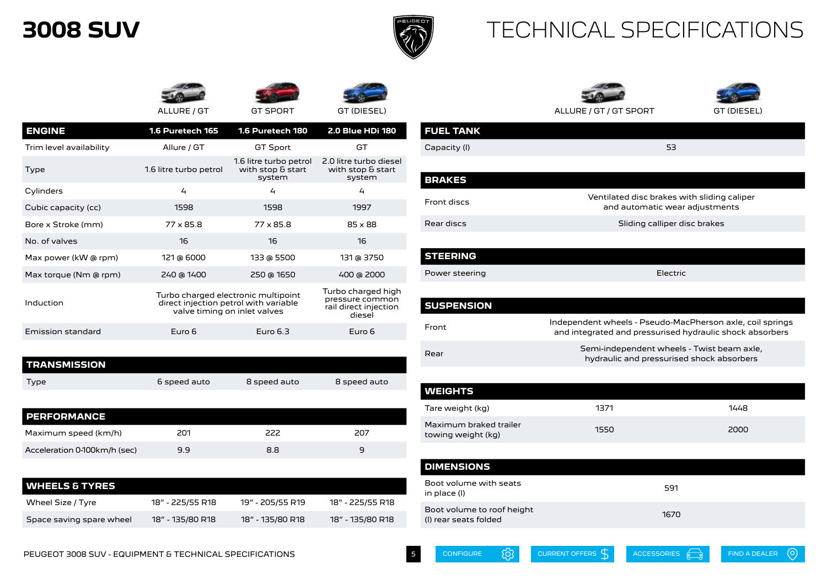

**STEERING**

### TECHNICAL SPECIFICATIONS





| <b>ENGINE</b>           | 1.6 Puretech 165       | 1.6 Puretech 180                                                                                             | <b>2.0 Blue HDi 180</b>                               |
|-------------------------|------------------------|--------------------------------------------------------------------------------------------------------------|-------------------------------------------------------|
| Trim level availability | Allure / GT            | <b>GT Sport</b>                                                                                              | GТ                                                    |
| Type                    | 1.6 litre turbo petrol | 1.6 litre turbo petrol<br>with stop & start<br>system                                                        | 2.0 litre turbo diesel<br>with stop & start<br>system |
| Cylinders               | $\overline{4}$         | 4                                                                                                            | 4                                                     |
| Cubic capacity (cc)     | 1598                   | 1598                                                                                                         | 1997                                                  |
| Bore x Stroke (mm)      | $77 \times 85.8$       | $77 \times 85.8$                                                                                             | $85 \times 88$                                        |
| No. of valves           | 16                     | 16                                                                                                           | 16                                                    |
| Max power (kW @ rpm)    | 121 @ 6000             | 133 @ 5500                                                                                                   | 131 @ 3750                                            |
| Max torque (Nm @ rpm)   | 240 @ 1400             | 250 @ 1650                                                                                                   | 400 @ 2000                                            |
| Induction               |                        | Turbo charged electronic multipoint<br>direct injection petrol with variable<br>valve timing on inlet valves |                                                       |
| Emission standard       | Euro 6                 | Euro $6.3$                                                                                                   | Euro 6                                                |

| I TRANSMISSION |              |              |              |
|----------------|--------------|--------------|--------------|
| Type           | 6 speed auto | 8 speed auto | 8 speed auto |

| <b>PERFORMANCE</b>           |     |     |     |
|------------------------------|-----|-----|-----|
| Maximum speed (km/h)         | 201 | 222 | 207 |
| Acceleration 0-100km/h (sec) | 9.9 | 8.8 | a   |

| l WHEELS & TYRES         |                  |                  |                  |
|--------------------------|------------------|------------------|------------------|
| Wheel Size / Tyre        | 18" - 225/55 R18 | 19" - 205/55 R19 | 18" - 225/55 R18 |
| Space saving spare wheel | 18" - 135/80 R18 | 18" - 135/80 R18 | 18" - 135/80 R18 |

| ALLURE / GT        | <b>GT SPORT</b>                                       | GT (DIESEL)                                           |                  | ALLURE / GT / GT SPORT                      | GT (DIESEL) |
|--------------------|-------------------------------------------------------|-------------------------------------------------------|------------------|---------------------------------------------|-------------|
| 5 Puretech 165     | 1.6 Puretech 180                                      | <b>2.0 Blue HDi 180</b>                               | <b>FUEL TANK</b> |                                             |             |
| Allure / GT        | <b>GT Sport</b>                                       | GT                                                    | Capacity (I)     | 53                                          |             |
| litre turbo petrol | 1.6 litre turbo petrol<br>with stop & start<br>system | 2.0 litre turbo diesel<br>with stop & start<br>system |                  |                                             |             |
|                    |                                                       |                                                       | <b>BRAKES</b>    |                                             |             |
| 4                  | 4                                                     | 4                                                     |                  | Ventilated disc brakes with sliding caliper |             |
| 1598               | 1598                                                  | 1997                                                  | Front discs      | and automatic wear adjustments              |             |
| 77 x 85.8          | $77 \times 85.8$                                      | $85 \times 88$                                        | Rear discs       | Sliding calliper disc brakes                |             |
| 16                 | 16                                                    | 16                                                    |                  |                                             |             |
| 121 $\approx$ 6000 | 122 $\approx$ EEM                                     | 121 $\approx$ 2750                                    | <b>STEEDING</b>  |                                             |             |

Power steering **Electric** Electric **SUSPENSION** Front Independent wheels - Pseudo-MacPherson axle, coil springs and integrated and pressurised hydraulic shock absorbers Rear Semi-independent wheels - Twist beam axle, hydraulic and pressurised shock absorbers

| <b>WEIGHTS</b>                               |      |      |
|----------------------------------------------|------|------|
| Tare weight (kg)                             | 1371 | 1448 |
| Maximum braked trailer<br>towing weight (kg) | 1550 | 2000 |
|                                              |      |      |

| <b>DIMENSIONS</b>                                   |      |
|-----------------------------------------------------|------|
| Boot volume with seats<br>in place (I)              | 591  |
| Boot volume to roof height<br>(I) rear seats folded | 1670 |

[CONFIGURE](https://www.peugeot.com.au/new-cars/current-models/)  $\bigcirc$  [CURRENT OFFERS](https://www.peugeot.com.au/offers/new-car-offers/)  $\bigcirc$  [ACCESSORIES](https://peugeotaccessories.com.au/)  $\bigcirc$  [FIND A DEALER](https://www.peugeot.com.au/dealers/)

 $\odot$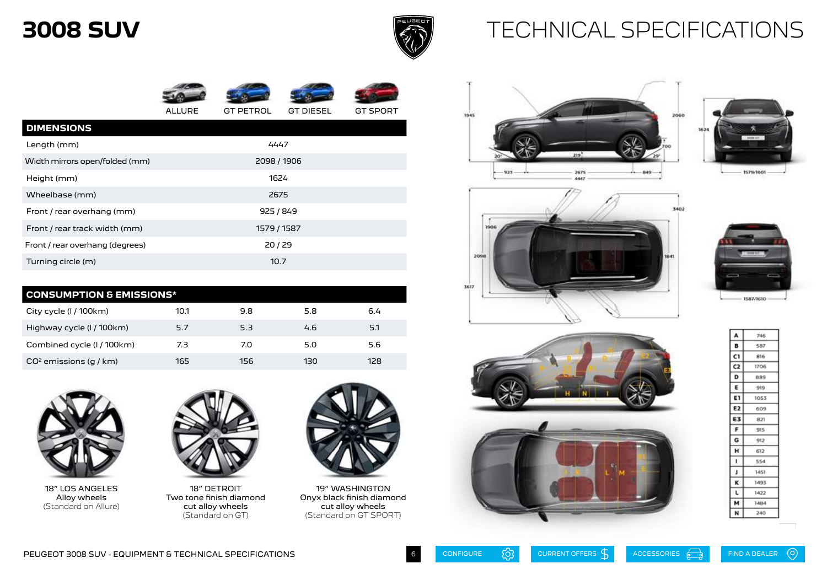

### TECHNICAL SPECIFICATIONS



ALLURE GT PETROL GT DIESEL GT SPORT

| <b>DIMENSIONS</b>               |             |  |
|---------------------------------|-------------|--|
| Length (mm)                     | 4447        |  |
| Width mirrors open/folded (mm)  | 2098 / 1906 |  |
| Height (mm)                     | 1624        |  |
| Wheelbase (mm)                  | 2675        |  |
| Front / rear overhang (mm)      | 925 / 849   |  |
| Front / rear track width (mm)   | 1579 / 1587 |  |
| Front / rear overhang (degrees) | 20/29       |  |
| Turning circle (m)              | 10.7        |  |

| <b>CONSUMPTION &amp; EMISSIONS*</b> |      |     |     |     |
|-------------------------------------|------|-----|-----|-----|
| City cycle (I / 100km)              | 10.1 | 9.8 | 5.8 | 6.4 |
| Highway cycle (I / 100km)           | 5.7  | 5.3 | 4.6 | 5.1 |
| Combined cycle (I / 100km)          | 7.3  | 7.0 | 5.0 | 5.6 |
| $CO2$ emissions (q / km)            | 165  | 156 | 130 | 128 |



18" LOS ANGELES Alloy wheels (Standard on Allure)



18" DETROIT Two tone finish diamond cut alloy wheels (Standard on GT)



19" WASHINGTON Onyx black finish diamond cut alloy wheels (Standard on GT SPORT)













| A  | 746  |  |
|----|------|--|
| в  | 587  |  |
| C١ | 816  |  |
| C2 | 1706 |  |
| D  | 889  |  |
| Ε  | 919  |  |
| E٦ | 1053 |  |
| E2 | 609  |  |
| E3 | 821  |  |
| F  | 915  |  |
| G  | 912  |  |
| н  | 612  |  |
| ٠  | 554  |  |
| ı  | 1451 |  |
| κ  | 1493 |  |
| г  | 1422 |  |
| м  | 1484 |  |
| и  | 240  |  |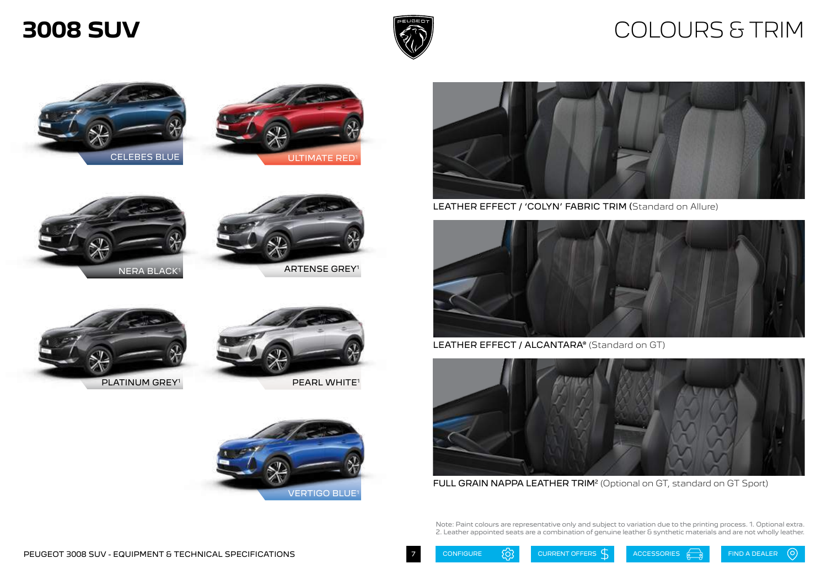

### COLOURS & TRIM







LEATHER EFFECT / 'COLYN' FABRIC TRIM (Standard on Allure)



LEATHER EFFECT / ALCANTARA® (Standard on GT)



FULL GRAIN NAPPA LEATHER TRIM<sup>2</sup> (Optional on GT, standard on GT Sport)

Note: Paint colours are representative only and subject to variation due to the printing process. 1. Optional extra. 2. Leather appointed seats are a combination of genuine leather & synthetic materials and are not wholly leather.













ARTENSE GREY1





PEARL WHITE1